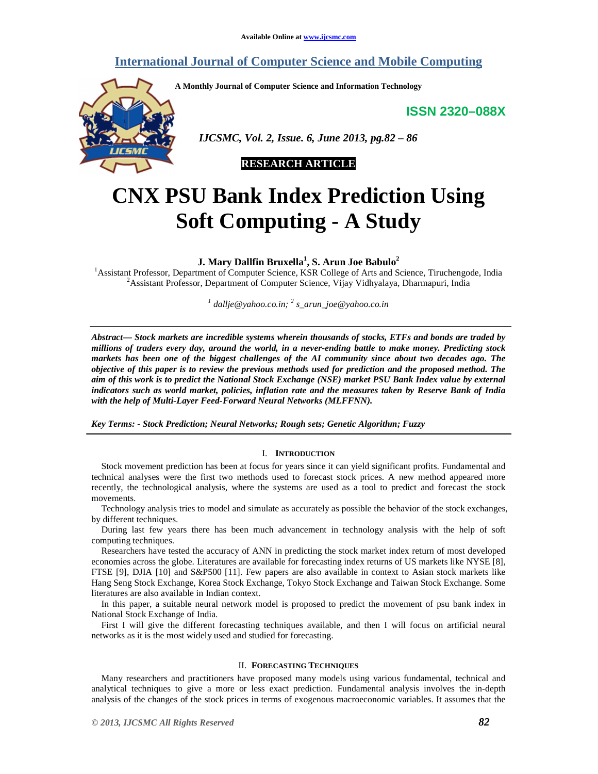# **International Journal of Computer Science and Mobile Computing**

**A Monthly Journal of Computer Science and Information Technology** 

**ISSN 2320–088X**



 *IJCSMC, Vol. 2, Issue. 6, June 2013, pg.82 – 86* 



# **CNX PSU Bank Index Prediction Using Soft Computing - A Study**

**J. Mary Dallfin Bruxella<sup>1</sup> , S. Arun Joe Babulo<sup>2</sup>**

<sup>1</sup> Assistant Professor, Department of Computer Science, KSR College of Arts and Science, Tiruchengode, India <sup>2</sup>Assistant Professor, Department of Computer Science, Vijay Vidhyalaya, Dharmapuri, India

*1 dallje@yahoo.co.in; <sup>2</sup> s\_arun\_joe@yahoo.co.in*

*Abstract— Stock markets are incredible systems wherein thousands of stocks, ETFs and bonds are traded by millions of traders every day, around the world, in a never-ending battle to make money. Predicting stock markets has been one of the biggest challenges of the AI community since about two decades ago. The objective of this paper is to review the previous methods used for prediction and the proposed method. The aim of this work is to predict the National Stock Exchange (NSE) market PSU Bank Index value by external indicators such as world market, policies, inflation rate and the measures taken by Reserve Bank of India with the help of Multi-Layer Feed-Forward Neural Networks (MLFFNN).* 

*Key Terms: - Stock Prediction; Neural Networks; Rough sets; Genetic Algorithm; Fuzzy* 

# I. **INTRODUCTION**

Stock movement prediction has been at focus for years since it can yield significant profits. Fundamental and technical analyses were the first two methods used to forecast stock prices. A new method appeared more recently, the technological analysis, where the systems are used as a tool to predict and forecast the stock movements.

Technology analysis tries to model and simulate as accurately as possible the behavior of the stock exchanges, by different techniques.

During last few years there has been much advancement in technology analysis with the help of soft computing techniques.

Researchers have tested the accuracy of ANN in predicting the stock market index return of most developed economies across the globe. Literatures are available for forecasting index returns of US markets like NYSE [8], FTSE [9], DJIA [10] and S&P500 [11]. Few papers are also available in context to Asian stock markets like Hang Seng Stock Exchange, Korea Stock Exchange, Tokyo Stock Exchange and Taiwan Stock Exchange. Some literatures are also available in Indian context.

In this paper, a suitable neural network model is proposed to predict the movement of psu bank index in National Stock Exchange of India.

First I will give the different forecasting techniques available, and then I will focus on artificial neural networks as it is the most widely used and studied for forecasting.

# II. **FORECASTING TECHNIQUES**

Many researchers and practitioners have proposed many models using various fundamental, technical and analytical techniques to give a more or less exact prediction. Fundamental analysis involves the in-depth analysis of the changes of the stock prices in terms of exogenous macroeconomic variables. It assumes that the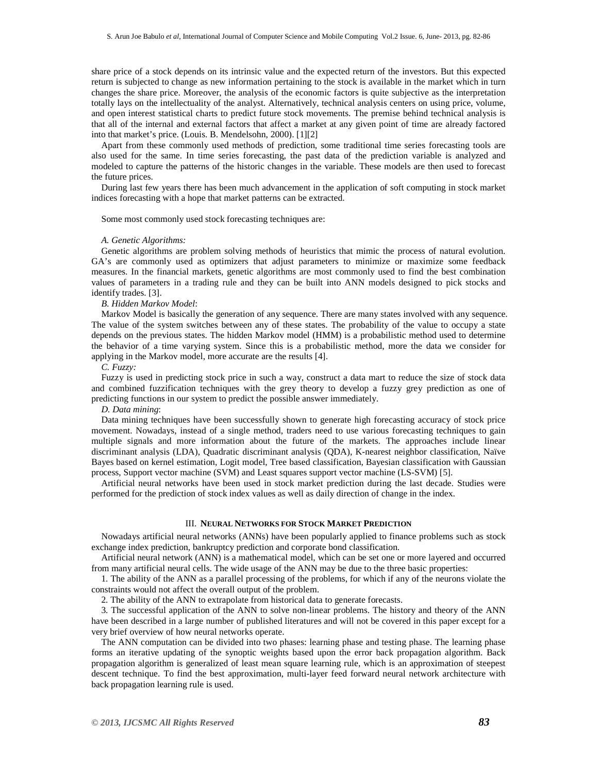share price of a stock depends on its intrinsic value and the expected return of the investors. But this expected return is subjected to change as new information pertaining to the stock is available in the market which in turn changes the share price. Moreover, the analysis of the economic factors is quite subjective as the interpretation totally lays on the intellectuality of the analyst. Alternatively, technical analysis centers on using price, volume, and open interest statistical charts to predict future stock movements. The premise behind technical analysis is that all of the internal and external factors that affect a market at any given point of time are already factored into that market's price. (Louis. B. Mendelsohn, 2000). [1][2]

Apart from these commonly used methods of prediction, some traditional time series forecasting tools are also used for the same. In time series forecasting, the past data of the prediction variable is analyzed and modeled to capture the patterns of the historic changes in the variable. These models are then used to forecast the future prices.

During last few years there has been much advancement in the application of soft computing in stock market indices forecasting with a hope that market patterns can be extracted.

Some most commonly used stock forecasting techniques are:

# *A. Genetic Algorithms:*

Genetic algorithms are problem solving methods of heuristics that mimic the process of natural evolution. GA's are commonly used as optimizers that adjust parameters to minimize or maximize some feedback measures. In the financial markets, genetic algorithms are most commonly used to find the best combination values of parameters in a trading rule and they can be built into ANN models designed to pick stocks and identify trades. [3].

#### *B. Hidden Markov Model*:

Markov Model is basically the generation of any sequence. There are many states involved with any sequence. The value of the system switches between any of these states. The probability of the value to occupy a state depends on the previous states. The hidden Markov model (HMM) is a probabilistic method used to determine the behavior of a time varying system. Since this is a probabilistic method, more the data we consider for applying in the Markov model, more accurate are the results [4].

*C. Fuzzy:*

Fuzzy is used in predicting stock price in such a way, construct a data mart to reduce the size of stock data and combined fuzzification techniques with the grey theory to develop a fuzzy grey prediction as one of predicting functions in our system to predict the possible answer immediately.

*D. Data mining*:

Data mining techniques have been successfully shown to generate high forecasting accuracy of stock price movement. Nowadays, instead of a single method, traders need to use various forecasting techniques to gain multiple signals and more information about the future of the markets. The approaches include linear discriminant analysis (LDA), Quadratic discriminant analysis (QDA), K-nearest neighbor classification, Naïve Bayes based on kernel estimation, Logit model, Tree based classification, Bayesian classification with Gaussian process, Support vector machine (SVM) and Least squares support vector machine (LS-SVM) [5].

Artificial neural networks have been used in stock market prediction during the last decade. Studies were performed for the prediction of stock index values as well as daily direction of change in the index.

#### III. **NEURAL NETWORKS FOR STOCK MARKET PREDICTION**

Nowadays artificial neural networks (ANNs) have been popularly applied to finance problems such as stock exchange index prediction, bankruptcy prediction and corporate bond classification.

Artificial neural network (ANN) is a mathematical model, which can be set one or more layered and occurred from many artificial neural cells. The wide usage of the ANN may be due to the three basic properties:

1. The ability of the ANN as a parallel processing of the problems, for which if any of the neurons violate the constraints would not affect the overall output of the problem.

2. The ability of the ANN to extrapolate from historical data to generate forecasts.

3. The successful application of the ANN to solve non-linear problems. The history and theory of the ANN have been described in a large number of published literatures and will not be covered in this paper except for a very brief overview of how neural networks operate.

The ANN computation can be divided into two phases: learning phase and testing phase. The learning phase forms an iterative updating of the synoptic weights based upon the error back propagation algorithm. Back propagation algorithm is generalized of least mean square learning rule, which is an approximation of steepest descent technique. To find the best approximation, multi-layer feed forward neural network architecture with back propagation learning rule is used.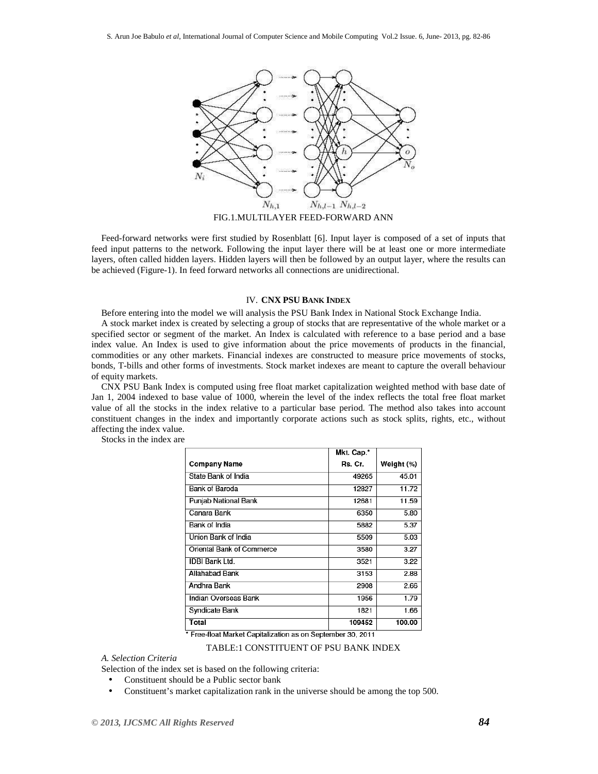

FIG.1.MULTILAYER FEED-FORWARD ANN

Feed-forward networks were first studied by Rosenblatt [6]. Input layer is composed of a set of inputs that feed input patterns to the network. Following the input layer there will be at least one or more intermediate layers, often called hidden layers. Hidden layers will then be followed by an output layer, where the results can be achieved (Figure-1). In feed forward networks all connections are unidirectional.

# IV. **CNX PSU BANK INDEX**

Before entering into the model we will analysis the PSU Bank Index in National Stock Exchange India.

A stock market index is created by selecting a group of stocks that are representative of the whole market or a specified sector or segment of the market. An Index is calculated with reference to a base period and a base index value. An Index is used to give information about the price movements of products in the financial, commodities or any other markets. Financial indexes are constructed to measure price movements of stocks, bonds, T-bills and other forms of investments. Stock market indexes are meant to capture the overall behaviour of equity markets.

CNX PSU Bank Index is computed using free float market capitalization weighted method with base date of Jan 1, 2004 indexed to base value of 1000, wherein the level of the index reflects the total free float market value of all the stocks in the index relative to a particular base period. The method also takes into account constituent changes in the index and importantly corporate actions such as stock splits, rights, etc., without affecting the index value.

|                           | Mkt. Cap.* |            |
|---------------------------|------------|------------|
| Company Name              | Rs. Cr.    | Weight (%) |
| State Bank of India       | 49265      | 45.01      |
| Bank of Baroda            | 12827      | 11.72      |
| Punjab National Bank      | 12681      | 11.59      |
| Canara Bank               | 6350       | 5.80       |
| Bank of India             | 5882       | 5.37       |
| Union Bank of India       | 5509       | 5.03       |
| Oriental Bank of Commerce | 3580       | 3.27       |
| <b>IDBI Bank Ltd.</b>     | 3521       | 3.22       |
| Allahabad Bank            | 3153       | 2.88       |
| Andhra Bank               | 2908       | 2.66       |
| Indian Overseas Bank      | 1956       | 1.79       |
| Syndicate Bank            | 1821       | 1.66       |
| Total                     | 109452     | 100.00     |

Stocks in the index are

\* Free-float Market Capitalization as on September 30, 2011

TABLE:1 CONSTITUENT OF PSU BANK INDEX

*A. Selection Criteria* 

Selection of the index set is based on the following criteria:

- Constituent should be a Public sector bank
- Constituent's market capitalization rank in the universe should be among the top 500.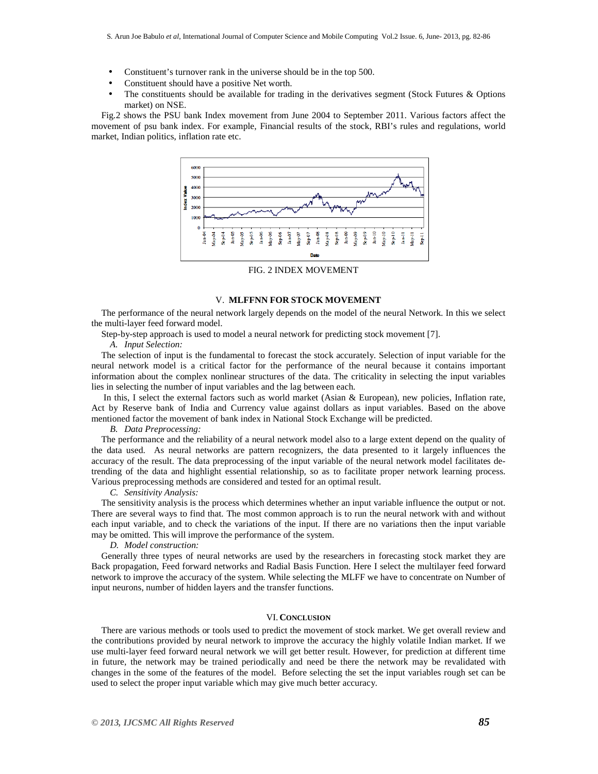- Constituent's turnover rank in the universe should be in the top 500.
- Constituent should have a positive Net worth.
- The constituents should be available for trading in the derivatives segment (Stock Futures & Options market) on NSE.

Fig.2 shows the PSU bank Index movement from June 2004 to September 2011. Various factors affect the movement of psu bank index. For example, Financial results of the stock, RBI's rules and regulations, world market, Indian politics, inflation rate etc.



FIG. 2 INDEX MOVEMENT

# V. **MLFFNN FOR STOCK MOVEMENT**

The performance of the neural network largely depends on the model of the neural Network. In this we select the multi-layer feed forward model.

Step-by-step approach is used to model a neural network for predicting stock movement [7].

*A. Input Selection:* 

The selection of input is the fundamental to forecast the stock accurately. Selection of input variable for the neural network model is a critical factor for the performance of the neural because it contains important information about the complex nonlinear structures of the data. The criticality in selecting the input variables lies in selecting the number of input variables and the lag between each.

 In this, I select the external factors such as world market (Asian & European), new policies, Inflation rate, Act by Reserve bank of India and Currency value against dollars as input variables. Based on the above mentioned factor the movement of bank index in National Stock Exchange will be predicted.

*B. Data Preprocessing:* 

The performance and the reliability of a neural network model also to a large extent depend on the quality of the data used. As neural networks are pattern recognizers, the data presented to it largely influences the accuracy of the result. The data preprocessing of the input variable of the neural network model facilitates detrending of the data and highlight essential relationship, so as to facilitate proper network learning process. Various preprocessing methods are considered and tested for an optimal result.

*C. Sensitivity Analysis:* 

The sensitivity analysis is the process which determines whether an input variable influence the output or not. There are several ways to find that. The most common approach is to run the neural network with and without each input variable, and to check the variations of the input. If there are no variations then the input variable may be omitted. This will improve the performance of the system.

*D. Model construction:* 

Generally three types of neural networks are used by the researchers in forecasting stock market they are Back propagation, Feed forward networks and Radial Basis Function. Here I select the multilayer feed forward network to improve the accuracy of the system. While selecting the MLFF we have to concentrate on Number of input neurons, number of hidden layers and the transfer functions.

# VI. **CONCLUSION**

There are various methods or tools used to predict the movement of stock market. We get overall review and the contributions provided by neural network to improve the accuracy the highly volatile Indian market. If we use multi-layer feed forward neural network we will get better result. However, for prediction at different time in future, the network may be trained periodically and need be there the network may be revalidated with changes in the some of the features of the model. Before selecting the set the input variables rough set can be used to select the proper input variable which may give much better accuracy.